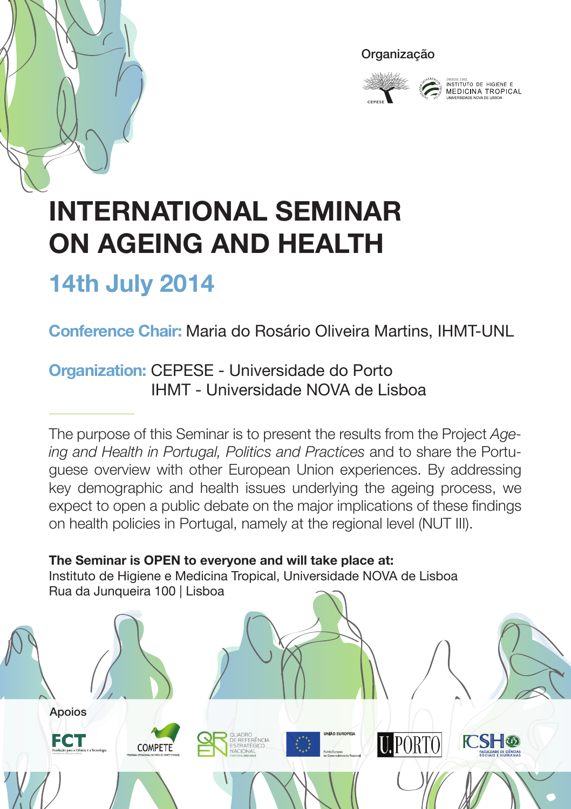



INSTITUTO DE HIGIENE E<br>MEDICINA TROPICAL

# **International Seminar on Ageing and Health**

## **14th July 2014**

## **Conference Chair:** Maria do Rosário Oliveira Martins, IHMT-UNL

#### **Organization:** CEPESE - Universidade do Porto IHMT - Universidade NOVA de Lisboa

The purpose of this Seminar is to present the results from the Project *Ageing and Health in Portugal, Politics and Practices* and to share the Portuguese overview with other European Union experiences. By addressing key demographic and health issues underlying the ageing process, we expect to open a public debate on the major implications of these findings on health policies in Portugal, namely at the regional level (NUT III).

**The Seminar is OPEN to everyone and will take place at:** Instituto de Higiene e Medicina Tropical, Universidade NOVA de Lisboa Rua da Junqueira 100 | Lisboa